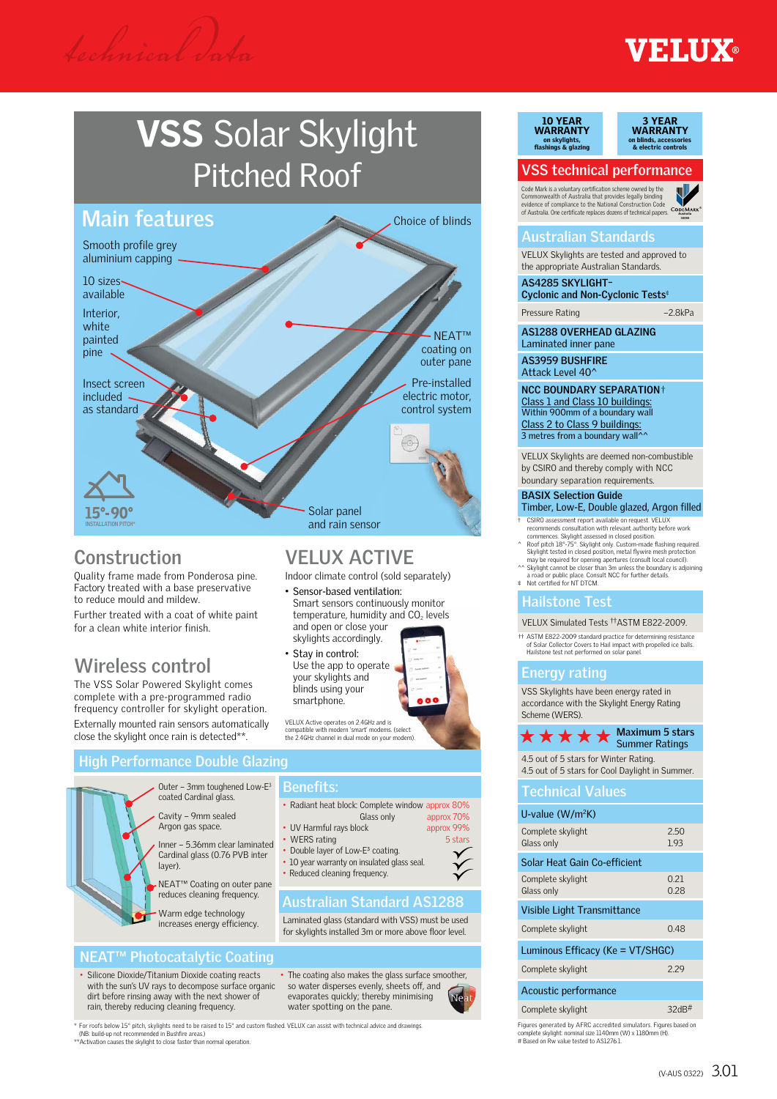## **ETHIY®**

## VSS Solar Skylight Pitched Roof

#### **Main features** Choice of blinds

Smooth profile grev aluminium capping

10 sizes available Interior,

white painted pine

Insect screen included

as standard

**INSTALLATION PITCH\***

### **Construction**

Quality frame made from Ponderosa pine. Factory treated with a base preservative to reduce mould and mildew.

Further treated with a coat of white paint for a clean white interior finish.

### **Wireless control**

The VSS Solar Powered Skylight comes complete with a pre-programmed radio frequency controller for skylight operation. Externally mounted rain sensors automatically

close the skylight once rain is detected\*\*.

#### **VELUX ACTIVE** Indoor climate control (sold separately)

Solar panel and rain sensor

• Sensor-based ventilation:

- Smart sensors continuously monitor temperature, humidity and  $CO<sub>2</sub>$  levels and open or close your skylights accordingly.
- Stay in control: Use the app to operate your skylights and blinds using your smartphone.



NEAT™ coating on outer pane

Pre-installed electric motor, control system

VELUX Active operates on 2.4GHz and is<br>compatible with modern 'smart' modems. (select compatible with modern 'smart' modems. (select the 2.4GHz channel in dual mode on your modem).

#### **High Performance Double Glazing**



#### **Benefits:**

- Radiant heat block: Complete window approx 80% Glass only approx 70%
- UV Harmful rays block approx 99%<br>• WERS rating 5 stars
- WERS rating
- Double layer of Low-E<sup>3</sup> coating. • 10 year warranty on insulated glass seal.
- Reduced cleaning frequency.

#### **Australian Standard AS1288**

Laminated glass (standard with VSS) must be used for skylights installed 3m or more above floor level.

#### **NEAT™ Photocatalytic Coating** • Silicone Dioxide/Titanium Dioxide coating reacts

with the sun's UV rays to decompose surface organic dirt before rinsing away with the next shower of rain, thereby reducing cleaning frequency.

• The coating also makes the glass surface smoother, so water disperses evenly, sheets off, and evaporates quickly; thereby minimising water spotting on the pane.

\* For roofs below 15° pitch, skylights need to be raised to 15° and custom flashed. VELUX can assist with technical advice and drawings<br>(NB: build-up not recommended in Bushfire areas.)<br>\*\*Activation causes the skylight to

10 YEAR WARRANTY on skylights, flashings & glazing



#### **VSS technical performance**

Code Mark is a voluntary certification scheme owned by the<br>Commonwealth of Australia that provides legally binding<br>evidence of compliance to the National Construction Code<br>of Australia. One certificate replaces dozens of t

#### **Australian Standards**

VELUX Skylights are tested and approved to the appropriate Australian Standards.

**AS4285 SKYLIGHT– Cyclonic and Non-Cyclonic Tests**

Pressure Rating –2.8kPa

**Australia 30090 Australia 30090**

**AS1288 OVERHEAD GLAZING** Laminated inner pane

**AS3959 BUSHFIRE** Attack Level 40<sup>^</sup>

**NCC BOUNDARY SEPARATION**† Class 1 and Class 10 buildings: Within 900mm of a boundary wall Class 2 to Class 9 buildings:<br>3 metres from a boundary wall^^

VELUX Skylights are deemed non-combustible by CSIRO and thereby comply with NCC boundary separation requirements.

#### **BASIX Selection Guide**

† CSIRO assessment report available on request. VELUX Timber, Low-E, Double glazed, Argon filled

- recommends consultation with relevant authority before work
- commences. Skylight assessed in closed position.<br>
A Roof pitch 18°-75°. Skylight only. Custom-made flashing required.<br>
Skylight tested in closed position, metal flywire mesh protection<br>
may be required for opening a pertur
	-

#### **Hailstone Test**

VELUX Simulated Tests ††ASTM E822-2009.

†† ASTM E822-2009 standard practice for determining resistance of Solar Collector Covers to Hail impact with propelled ice balls. Hailstone test not performed on solar panel.

#### **Energy rating**

VSS Skylights have been energy rated in accordance with the Skylight Energy Rating Scheme (WERS).



4.5 out of 5 stars for Winter Rating. 4.5 out of 5 stars for Cool Daylight in Summer.

#### **Technical Values**

| U-value $(W/m^2K)$               |              |  |  |  |  |  |  |  |
|----------------------------------|--------------|--|--|--|--|--|--|--|
| Complete skylight<br>Glass only  | 2.50<br>1.93 |  |  |  |  |  |  |  |
| Solar Heat Gain Co-efficient     |              |  |  |  |  |  |  |  |
| Complete skylight<br>Glass only  | 0.21<br>0.28 |  |  |  |  |  |  |  |
| Visible Light Transmittance      |              |  |  |  |  |  |  |  |
| Complete skylight                | 0.48         |  |  |  |  |  |  |  |
| Luminous Efficacy (Ke = VT/SHGC) |              |  |  |  |  |  |  |  |
| Complete skylight                | 229          |  |  |  |  |  |  |  |
| Acoustic performance             |              |  |  |  |  |  |  |  |
| Complete skylight                | 32dB         |  |  |  |  |  |  |  |

Figures generated by AFRC accredited simulators. Figures based on complete skylight: nominal size 1140mm (W) x 1180mm (H). # Based on Rw value tested to AS1276.1.